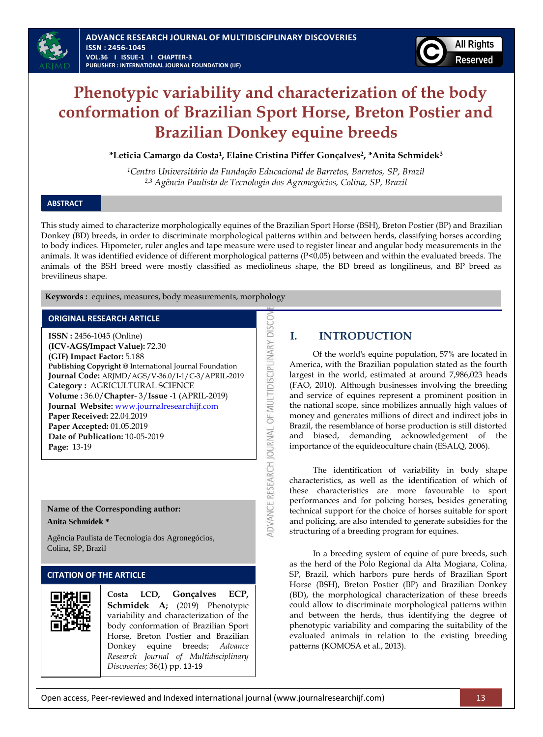

# **Phenotypic variability and characterization of the body conformation of Brazilian Sport Horse, Breton Postier and Brazilian Donkey equine breeds**

**\*Leticia Camargo da Costa<sup>1</sup> , Elaine Cristina Piffer Gonçalves<sup>2</sup> , \*Anita Schmidek<sup>3</sup>**

*<sup>1</sup>Centro Universitário da Fundação Educacional de Barretos, Barretos, SP, Brazil 2,3 Agência Paulista de Tecnologia dos Agronegócios, Colina, SP, Brazil*

#### **ABSTRACT**

This study aimed to characterize morphologically equines of the Brazilian Sport Horse (BSH), Breton Postier (BP) and Brazilian Donkey (BD) breeds, in order to discriminate morphological patterns within and between herds, classifying horses according to body indices. Hipometer, ruler angles and tape measure were used to register linear and angular body measurements in the animals. It was identified evidence of different morphological patterns (P<0,05) between and within the evaluated breeds. The animals of the BSH breed were mostly classified as mediolineus shape, the BD breed as longilineus, and BP breed as brevilineus shape.

**DVANCE RESEARCH JOURNAL OF MULTIDISCIPLINARY DISCO** 

**Keywords :** equines, measures, body measurements, morphology

#### **ORIGINAL RESEARCH ARTICLE**

**ISSN :** 2456-1045 (Online) **(ICV-AGS/Impact Value):** 72.30 **(GIF) Impact Factor:** 5.188 **Publishing Copyright @** International Journal Foundation **Journal Code:** ARJMD/AGS/V-36.0/I-1/C-3/APRIL-2019 **Category :** AGRICULTURAL SCIENCE **Volume :** 36.0/**Chapter**- 3/**Issue** -1 (APRIL-2019) **Journal Website:** [www.journalresearchijf.com](http://www.journalresearchijf.com/) **Paper Received:** 22.04.2019 **Paper Accepted:** 01.05.2019 **Date of Publication:** 10-05-2019 **Page:** 13-19

#### **Name of the Corresponding author: Anita Schmidek \***

Agência Paulista de Tecnologia dos Agronegócios, Colina, SP, Brazil

## **CITATION OF THE ARTICLE**



# **I. INTRODUCTION**

Of the world's equine population, 57% are located in America, with the Brazilian population stated as the fourth largest in the world, estimated at around 7,986,023 heads (FAO, 2010). Although businesses involving the breeding and service of equines represent a prominent position in the national scope, since mobilizes annually high values of money and generates millions of direct and indirect jobs in Brazil, the resemblance of horse production is still distorted and biased, demanding acknowledgement of the importance of the equideoculture chain (ESALQ, 2006).

The identification of variability in body shape characteristics, as well as the identification of which of these characteristics are more favourable to sport performances and for policing horses, besides generating technical support for the choice of horses suitable for sport and policing, are also intended to generate subsidies for the structuring of a breeding program for equines.

In a breeding system of equine of pure breeds, such as the herd of the Polo Regional da Alta Mogiana, Colina, SP, Brazil, which harbors pure herds of Brazilian Sport Horse (BSH), Breton Postier (BP) and Brazilian Donkey (BD), the morphological characterization of these breeds could allow to discriminate morphological patterns within and between the herds, thus identifying the degree of phenotypic variability and comparing the suitability of the evaluated animals in relation to the existing breeding patterns (KOMOSA et al., 2013).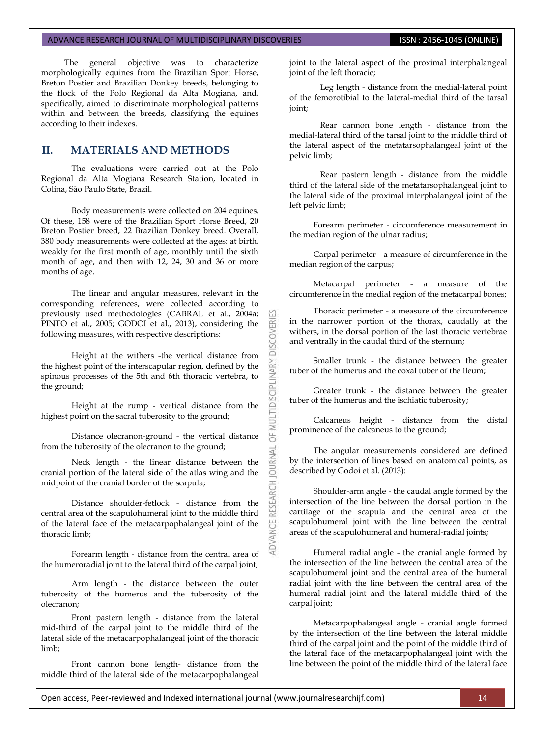The general objective was to characterize morphologically equines from the Brazilian Sport Horse, Breton Postier and Brazilian Donkey breeds, belonging to the flock of the Polo Regional da Alta Mogiana, and, specifically, aimed to discriminate morphological patterns within and between the breeds, classifying the equines according to their indexes.

## **II. MATERIALS AND METHODS**

The evaluations were carried out at the Polo Regional da Alta Mogiana Research Station, located in Colina, São Paulo State, Brazil.

Body measurements were collected on 204 equines. Of these, 158 were of the Brazilian Sport Horse Breed, 20 Breton Postier breed, 22 Brazilian Donkey breed. Overall, 380 body measurements were collected at the ages: at birth, weakly for the first month of age, monthly until the sixth month of age, and then with 12, 24, 30 and 36 or more months of age.

The linear and angular measures, relevant in the corresponding references, were collected according to previously used methodologies (CABRAL et al., 2004a; PINTO et al., 2005; GODOI et al., 2013), considering the following measures, with respective descriptions:

OVERII

**DISC** 

INARY

MULTIDISCIPLI

**JAWAL** 

RESEARCH

ANCE

Height at the withers -the vertical distance from the highest point of the interscapular region, defined by the spinous processes of the 5th and 6th thoracic vertebra, to the ground;

Height at the rump - vertical distance from the highest point on the sacral tuberosity to the ground;

Distance olecranon-ground - the vertical distance from the tuberosity of the olecranon to the ground;

Neck length - the linear distance between the cranial portion of the lateral side of the atlas wing and the midpoint of the cranial border of the scapula;

Distance shoulder-fetlock - distance from the central area of the scapulohumeral joint to the middle third of the lateral face of the metacarpophalangeal joint of the thoracic limb;

Forearm length - distance from the central area of the humeroradial joint to the lateral third of the carpal joint;

Arm length - the distance between the outer tuberosity of the humerus and the tuberosity of the olecranon;

Front pastern length - distance from the lateral mid-third of the carpal joint to the middle third of the lateral side of the metacarpophalangeal joint of the thoracic limb;

Front cannon bone length- distance from the middle third of the lateral side of the metacarpophalangeal joint to the lateral aspect of the proximal interphalangeal joint of the left thoracic;

Leg length - distance from the medial-lateral point of the femorotibial to the lateral-medial third of the tarsal joint;

Rear cannon bone length - distance from the medial-lateral third of the tarsal joint to the middle third of the lateral aspect of the metatarsophalangeal joint of the pelvic limb;

Rear pastern length - distance from the middle third of the lateral side of the metatarsophalangeal joint to the lateral side of the proximal interphalangeal joint of the left pelvic limb;

Forearm perimeter - circumference measurement in the median region of the ulnar radius;

Carpal perimeter - a measure of circumference in the median region of the carpus;

Metacarpal perimeter - a measure of the circumference in the medial region of the metacarpal bones;

Thoracic perimeter - a measure of the circumference in the narrower portion of the thorax, caudally at the withers, in the dorsal portion of the last thoracic vertebrae and ventrally in the caudal third of the sternum;

Smaller trunk - the distance between the greater tuber of the humerus and the coxal tuber of the ileum;

Greater trunk - the distance between the greater tuber of the humerus and the ischiatic tuberosity;

Calcaneus height - distance from the distal prominence of the calcaneus to the ground;

The angular measurements considered are defined by the intersection of lines based on anatomical points, as described by Godoi et al. (2013):

Shoulder-arm angle - the caudal angle formed by the intersection of the line between the dorsal portion in the cartilage of the scapula and the central area of the scapulohumeral joint with the line between the central areas of the scapulohumeral and humeral-radial joints;

Humeral radial angle - the cranial angle formed by the intersection of the line between the central area of the scapulohumeral joint and the central area of the humeral radial joint with the line between the central area of the humeral radial joint and the lateral middle third of the carpal joint;

Metacarpophalangeal angle - cranial angle formed by the intersection of the line between the lateral middle third of the carpal joint and the point of the middle third of the lateral face of the metacarpophalangeal joint with the line between the point of the middle third of the lateral face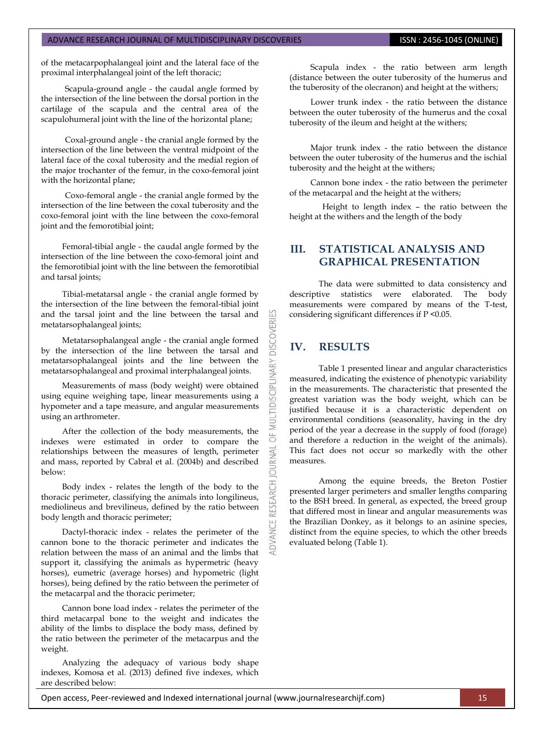of the metacarpophalangeal joint and the lateral face of the proximal interphalangeal joint of the left thoracic;

Scapula-ground angle - the caudal angle formed by the intersection of the line between the dorsal portion in the cartilage of the scapula and the central area of the scapulohumeral joint with the line of the horizontal plane;

Coxal-ground angle - the cranial angle formed by the intersection of the line between the ventral midpoint of the lateral face of the coxal tuberosity and the medial region of the major trochanter of the femur, in the coxo-femoral joint with the horizontal plane;

Coxo-femoral angle - the cranial angle formed by the intersection of the line between the coxal tuberosity and the coxo-femoral joint with the line between the coxo-femoral joint and the femorotibial joint;

Femoral-tibial angle - the caudal angle formed by the intersection of the line between the coxo-femoral joint and the femorotibial joint with the line between the femorotibial and tarsal joints;

Tibial-metatarsal angle - the cranial angle formed by the intersection of the line between the femoral-tibial joint and the tarsal joint and the line between the tarsal and metatarsophalangeal joints;

Metatarsophalangeal angle - the cranial angle formed by the intersection of the line between the tarsal and metatarsophalangeal joints and the line between the metatarsophalangeal and proximal interphalangeal joints.

Measurements of mass (body weight) were obtained using equine weighing tape, linear measurements using a hypometer and a tape measure, and angular measurements using an arthrometer.

After the collection of the body measurements, the indexes were estimated in order to compare the relationships between the measures of length, perimeter and mass, reported by Cabral et al. (2004b) and described below:

Body index - relates the length of the body to the thoracic perimeter, classifying the animals into longilineus, mediolineus and brevilineus, defined by the ratio between body length and thoracic perimeter;

Dactyl-thoracic index - relates the perimeter of the cannon bone to the thoracic perimeter and indicates the relation between the mass of an animal and the limbs that support it, classifying the animals as hypermetric (heavy horses), eumetric (average horses) and hypometric (light horses), being defined by the ratio between the perimeter of the metacarpal and the thoracic perimeter;

Cannon bone load index - relates the perimeter of the third metacarpal bone to the weight and indicates the ability of the limbs to displace the body mass, defined by the ratio between the perimeter of the metacarpus and the weight.

Analyzing the adequacy of various body shape indexes, Komosa et al. (2013) defined five indexes, which are described below:

Scapula index - the ratio between arm length (distance between the outer tuberosity of the humerus and the tuberosity of the olecranon) and height at the withers;

Lower trunk index - the ratio between the distance between the outer tuberosity of the humerus and the coxal tuberosity of the ileum and height at the withers;

Major trunk index - the ratio between the distance between the outer tuberosity of the humerus and the ischial tuberosity and the height at the withers;

Cannon bone index - the ratio between the perimeter of the metacarpal and the height at the withers;

Height to length index – the ratio between the height at the withers and the length of the body

# **III. STATISTICAL ANALYSIS AND GRAPHICAL PRESENTATION**

The data were submitted to data consistency and descriptive statistics were elaborated. The body measurements were compared by means of the T-test, considering significant differences if P <0.05.

## **IV. RESULTS**

**DISCOVERI** 

TIDISCIPLINARY

NULT 5 **RNAL** pol

Table 1 presented linear and angular characteristics measured, indicating the existence of phenotypic variability in the measurements. The characteristic that presented the greatest variation was the body weight, which can be justified because it is a characteristic dependent on environmental conditions (seasonality, having in the dry period of the year a decrease in the supply of food (forage) and therefore a reduction in the weight of the animals). This fact does not occur so markedly with the other measures.

Among the equine breeds, the Breton Postier presented larger perimeters and smaller lengths comparing to the BSH breed. In general, as expected, the breed group that differed most in linear and angular measurements was the Brazilian Donkey, as it belongs to an asinine species, distinct from the equine species, to which the other breeds evaluated belong (Table 1).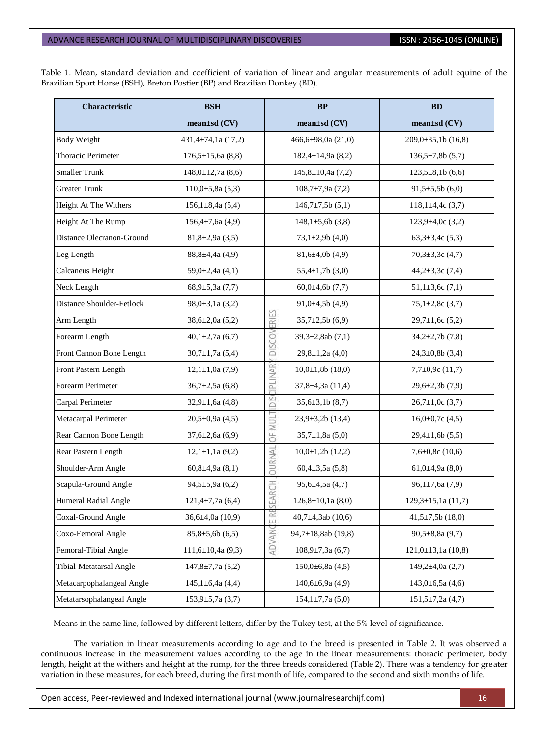Table 1. Mean, standard deviation and coefficient of variation of linear and angular measurements of adult equine of the Brazilian Sport Horse (BSH), Breton Postier (BP) and Brazilian Donkey (BD).

| Characteristic                   | <b>BSH</b>             | <b>BP</b>                            | <b>BD</b>               |
|----------------------------------|------------------------|--------------------------------------|-------------------------|
|                                  | mean±sd (CV)           | $mean \pm sd$ (CV)                   | $mean \pm sd$ (CV)      |
| <b>Body Weight</b>               | $431,4\pm74,1a(17,2)$  | 466,6±98,0a (21,0)                   | $209,0\pm35,1b(16,8)$   |
| <b>Thoracic Perimeter</b>        | $176,5 \pm 15,6a(8,8)$ | $182,4\pm 14,9a(8,2)$                | $136,5\pm7,8b(5,7)$     |
| <b>Smaller Trunk</b>             | $148,0 \pm 12,7a(8,6)$ | $145,8 \pm 10,4a(7,2)$               | $123,5\pm8,1b(6,6)$     |
| <b>Greater Trunk</b>             | $110,0 \pm 5,8a(5,3)$  | $108,7\pm7,9a(7,2)$                  | $91,5 \pm 5,5b(6,0)$    |
| Height At The Withers            | $156,1\pm8,4a(5,4)$    | $146,7\pm7,5b(5,1)$                  | $118,1\pm4,4c(3,7)$     |
| Height At The Rump               | $156,4\pm7,6a(4,9)$    | $148,1\pm5,6b(3,8)$                  | $123,9 \pm 4,0c(3,2)$   |
| Distance Olecranon-Ground        | $81,8 \pm 2,9a(3,5)$   | $73,1\pm2,9b(4,0)$                   | $63,3 \pm 3,4c(5,3)$    |
| Leg Length                       | $88,8 \pm 4,4a(4,9)$   | $81,6\pm4,0b(4,9)$                   | $70,3 \pm 3,3c(4,7)$    |
| Calcaneus Height                 | $59,0\pm2,4a(4,1)$     | $55,4\pm1,7b(3,0)$                   | $44,2{\pm}3,3c(7,4)$    |
| Neck Length                      | $68,9{\pm}5,3a(7,7)$   | $60,0\pm4,6b(7,7)$                   | $51,1\pm3,6c(7,1)$      |
| <b>Distance Shoulder-Fetlock</b> | $98,0 \pm 3,1a(3,2)$   | $91,0\pm4,5b(4,9)$                   | $75,1\pm2,8c(3,7)$      |
| Arm Length                       | $38,6 \pm 2,0a(5,2)$   | ERIE<br>$35,7\pm2,5b(6,9)$           | $29,7\pm1,6c(5,2)$      |
| Forearm Length                   | $40,1\pm2,7a(6,7)$     | čov<br>$39,3\pm2,8ab(7,1)$           | $34,2{\pm}2,7b(7,8)$    |
| Front Cannon Bone Length         | $30,7\pm1,7a(5,4)$     | ă<br>$29,8 \pm 1,2a(4,0)$            | $24,3\pm0,8b(3,4)$      |
| Front Pastern Length             | $12,1 \pm 1,0a(7,9)$   | NAR<br>$10,0{\pm}1,8b(18,0)$         | $7,7\pm0.9c(11,7)$      |
| Forearm Perimeter                | $36,7\pm2,5a(6,8)$     | <b>URLI</b><br>$37,8 \pm 4,3a(11,4)$ | $29,6 \pm 2,3b(7,9)$    |
| Carpal Perimeter                 | $32,9 \pm 1,6a(4,8)$   | DIS<br>$35,6 \pm 3,1b(8,7)$          | $26,7\pm1,0c(3,7)$      |
| Metacarpal Perimeter             | $20,5\pm0,9a(4,5)$     | JUI.<br>$23,9\pm3,2b(13,4)$          | $16,0\pm0,7c(4,5)$      |
| Rear Cannon Bone Length          | $37,6 \pm 2,6a(6,9)$   | 5<br>$35,7\pm1,8a(5,0)$              | $29,4\pm1,6b(5,5)$      |
| Rear Pastern Length              | $12,1 \pm 1,1a(9,2)$   | NAL<br>$10,0\pm1,2b(12,2)$           | $7,6\pm0,8c(10,6)$      |
| Shoulder-Arm Angle               | $60,8 \pm 4,9a(8,1)$   | <b>SUR</b><br>$60,4\pm3,5a(5,8)$     | $61,0+4,9a(8,0)$        |
| Scapula-Ground Angle             | $94,5 \pm 5,9a(6,2)$   | 舌<br>$95,6 \pm 4,5a(4,7)$            | $96,1\pm7,6a(7,9)$      |
| Humeral Radial Angle             | $121,4\pm7,7a(6,4)$    | EAI<br>$126,8 \pm 10,1a(8,0)$        | $129,3 \pm 15,1a(11,7)$ |
| Coxal-Ground Angle               | $36,6 \pm 4,0a(10,9)$  | RE<br>$40,7\pm4,3ab(10,6)$<br>ш      | $41,5\pm7,5b(18,0)$     |
| Coxo-Femoral Angle               | $85,8 \pm 5,6b(6,5)$   | <b>ANC</b><br>94,7±18,8ab (19,8)     | $90,5 \pm 8,8a(9,7)$    |
| Femoral-Tibial Angle             | $111,6 \pm 10,4a(9,3)$ | Q<br>$108.9 \pm 7.3a(6.7)$           | $121,0\pm13,1a(10,8)$   |
| Tibial-Metatarsal Angle          | $147,8 \pm 7,7a(5,2)$  | $150,0\pm6,8a(4,5)$                  | $149,2{\pm}4,0a(2,7)$   |
| Metacarpophalangeal Angle        | $145,1\pm 6,4a(4,4)$   | $140,6 \pm 6,9a(4,9)$                | $143,0 \pm 6,5a(4,6)$   |
| Metatarsophalangeal Angle        | $153,9 \pm 5,7a(3,7)$  | $154,1\pm7,7a(5,0)$                  | $151,5\pm7,2a(4,7)$     |

Means in the same line, followed by different letters, differ by the Tukey test, at the 5% level of significance.

The variation in linear measurements according to age and to the breed is presented in Table 2. It was observed a continuous increase in the measurement values according to the age in the linear measurements: thoracic perimeter, body length, height at the withers and height at the rump, for the three breeds considered (Table 2). There was a tendency for greater variation in these measures, for each breed, during the first month of life, compared to the second and sixth months of life.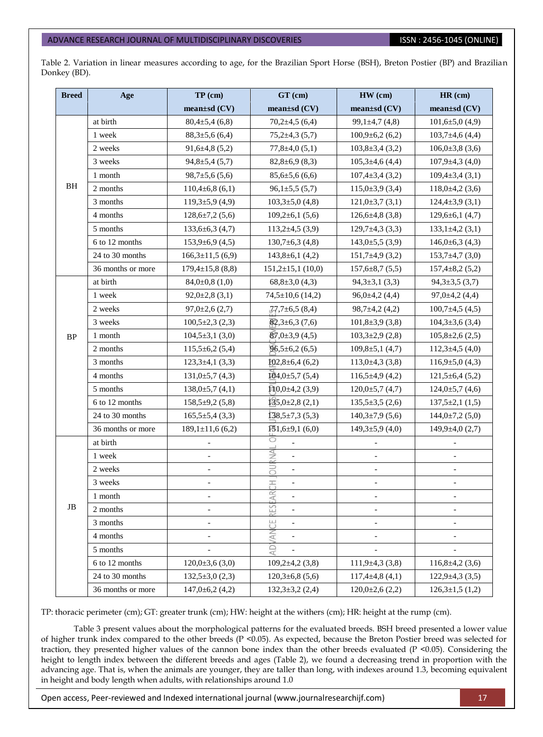Table 2. Variation in linear measures according to age, for the Brazilian Sport Horse (BSH), Breton Postier (BP) and Brazilian Donkey (BD).

| <b>Breed</b> | Age               | $TP$ (cm)                | $GT$ (cm)                               | $HW$ (cm)                | $HR$ (cm)                |
|--------------|-------------------|--------------------------|-----------------------------------------|--------------------------|--------------------------|
|              |                   | $mean \pm sd$ (CV)       | $mean \pm sd$ (CV)                      | $mean \pm sd$ (CV)       | $mean \pm sd$ (CV)       |
|              | at birth          | $80,4\pm5,4(6,8)$        | $70,2{\pm}4,5(6,4)$                     | $99,1 \pm 4,7(4,8)$      | $101,6 \pm 5,0(4,9)$     |
|              | 1 week            | $88,3 \pm 5,6(6,4)$      | $75,2{\pm}4,3(5,7)$                     | $100,9\pm 6,2(6,2)$      | $103,7\pm4,6(4,4)$       |
|              | 2 weeks           | $91,6\pm4,8(5,2)$        | $77,8 \pm 4,0(5,1)$                     | $103,8 \pm 3,4(3,2)$     | $106.0\pm3.8(3.6)$       |
|              | 3 weeks           | $94,8 \pm 5,4(5,7)$      | $82,8 \pm 6,9$ (8,3)                    | $105,3 \pm 4,6$ (4,4)    | $107,9 \pm 4,3$ (4,0)    |
|              | 1 month           | $98,7\pm5,6(5,6)$        | $85,6 \pm 5,6(6,6)$                     | $107,4\pm3,4(3,2)$       | $109,4\pm3,4(3,1)$       |
| BH           | 2 months          | $110,4\pm 6,8(6,1)$      | $96,1\pm5,5(5,7)$                       | $115,0\pm3,9(3,4)$       | $118,0\pm4,2(3,6)$       |
|              | 3 months          | $119,3\pm5,9(4,9)$       | $103.3 \pm 5.0$ (4.8)                   | $121,0\pm3,7(3,1)$       | $124,4\pm3,9(3,1)$       |
|              | 4 months          | $128,6 \pm 7,2(5,6)$     | $109,2{\pm}6,1(5,6)$                    | $126,6\pm4,8(3,8)$       | $129,6 \pm 6,1(4,7)$     |
|              | 5 months          | $133,6 \pm 6,3(4,7)$     | $113,2 \pm 4,5(3,9)$                    | $129,7\pm4,3(3,3)$       | $133,1\pm4,2(3,1)$       |
|              | 6 to 12 months    | $153,9\pm 6,9(4,5)$      | $130,7\pm 6,3(4,8)$                     | $143,0\pm5,5(3,9)$       | $146,0\pm 6,3(4,3)$      |
|              | 24 to 30 months   | $166,3\pm11,5(6,9)$      | $143,8 \pm 6,1(4,2)$                    | $151,7\pm4,9(3,2)$       | $153,7\pm4,7(3,0)$       |
|              | 36 months or more | $179,4\pm 15,8(8,8)$     | $151,2\pm 15,1(10,0)$                   | $157,6 \pm 8,7(5,5)$     | $157,4\pm8,2(5,2)$       |
|              | at birth          | $84,0\pm0,8(1,0)$        | $68,8 \pm 3,0$ (4,3)                    | $94,3 \pm 3,1$ (3,3)     | $94.3 \pm 3.5(3.7)$      |
|              | 1 week            | $92,0\pm2,8(3,1)$        | $74,5\pm10,6(14,2)$                     | $96,0\pm4,2(4,4)$        | $97,0\pm4,2(4,4)$        |
|              | 2 weeks           | $97,0\pm2,6(2,7)$        | $77,7\pm6,5(8,4)$                       | $98,7\pm4,2(4,2)$        | $100,7\pm4,5(4,5)$       |
|              | 3 weeks           | $100,5\pm2,3(2,3)$       | $82,3\pm 6,3(7,6)$                      | $101,8 \pm 3,9$ (3,8)    | $104.3 \pm 3.6$ (3.4)    |
| <b>BP</b>    | 1 month           | $104,5\pm3,1(3,0)$       | $87,0\pm3,9$ (4,5)                      | $103,3\pm2,9(2,8)$       | $105,8\pm2,6(2,5)$       |
|              | 2 months          | $115,5 \pm 6,2(5,4)$     | $96,5\pm6,2(6,5)$                       | $109,8 \pm 5,1(4,7)$     | $112,3 \pm 4,5(4,0)$     |
|              | 3 months          | $123,3 \pm 4,1(3,3)$     | $102,8 \pm 6,4(6,2)$                    | $113,0\pm4,3(3,8)$       | $116,9\pm5,0(4,3)$       |
|              | 4 months          | $131,0\pm5,7(4,3)$       | $104,0\pm5,7(5,4)$                      | $116,5\pm4,9(4,2)$       | $121,5\pm 6,4(5,2)$      |
|              | 5 months          | $138,0 \pm 5,7(4,1)$     | $\text{H}_0, 0 \pm 4, 2$ (3,9)          | $120,0\pm5,7(4,7)$       | $124,0\pm5,7(4,6)$       |
|              | 6 to 12 months    | $158,5\pm9,2(5,8)$       | $135,0\pm2,8(2,1)$                      | $135,5 \pm 3,5(2,6)$     | $137,5 \pm 2,1(1,5)$     |
|              | 24 to 30 months   | $165,5\pm5,4(3,3)$       | $138,5\pm7,3(5,3)$                      | $140,3\pm7,9(5,6)$       | $144,0\pm7,2(5,0)$       |
|              | 36 months or more | $189,1\pm11,6(6,2)$      | $151,6\pm9,1(6,0)$                      | $149,3 \pm 5,9(4,0)$     | $149,9\pm4,0(2,7)$       |
|              | at birth          |                          | O<br>$\overline{\phantom{a}}$           |                          |                          |
|              | 1 week            |                          | ΔÁ                                      |                          |                          |
|              | 2 weeks           |                          | <b>SURI</b><br>$\overline{\phantom{a}}$ |                          |                          |
|              | 3 weeks           | $\overline{\phantom{a}}$ | 舌<br>$\blacksquare$                     | $\overline{\phantom{a}}$ |                          |
|              | 1 month           |                          | $\sim$<br>⊴                             |                          |                          |
| JB           | 2 months          | $\qquad \qquad -$        | £S                                      | $\qquad \qquad -$        |                          |
|              | 3 months          | $\overline{\phantom{0}}$ | 出<br>$\overline{\phantom{a}}$           |                          |                          |
|              | 4 months          | $\qquad \qquad -$        | <b>AN</b><br>$\overline{\phantom{a}}$   | $\overline{\phantom{a}}$ | $\overline{\phantom{a}}$ |
|              | 5 months          | $\overline{\phantom{0}}$ | Q                                       |                          |                          |
|              | 6 to 12 months    | $120,0\pm3,6(3,0)$       | $109,2{\pm}4,2(3,8)$                    | $111,9\pm4,3(3,8)$       | $116,8 \pm 4,2(3,6)$     |
|              | 24 to 30 months   | $132,5 \pm 3,0(2,3)$     | $120,3\pm 6,8(5,6)$                     | $117,4\pm4,8(4,1)$       | $122,9 \pm 4,3$ (3,5)    |
|              | 36 months or more | $147,0\pm6,2(4,2)$       | $132,3 \pm 3,2(2,4)$                    | $120,0\pm2,6(2,2)$       | $126,3\pm1,5(1,2)$       |

TP: thoracic perimeter (cm); GT: greater trunk (cm); HW: height at the withers (cm); HR: height at the rump (cm).

Table 3 present values about the morphological patterns for the evaluated breeds. BSH breed presented a lower value of higher trunk index compared to the other breeds (P <0.05). As expected, because the Breton Postier breed was selected for traction, they presented higher values of the cannon bone index than the other breeds evaluated  $(P \le 0.05)$ . Considering the height to length index between the different breeds and ages (Table 2), we found a decreasing trend in proportion with the advancing age. That is, when the animals are younger, they are taller than long, with indexes around 1.3, becoming equivalent in height and body length when adults, with relationships around 1.0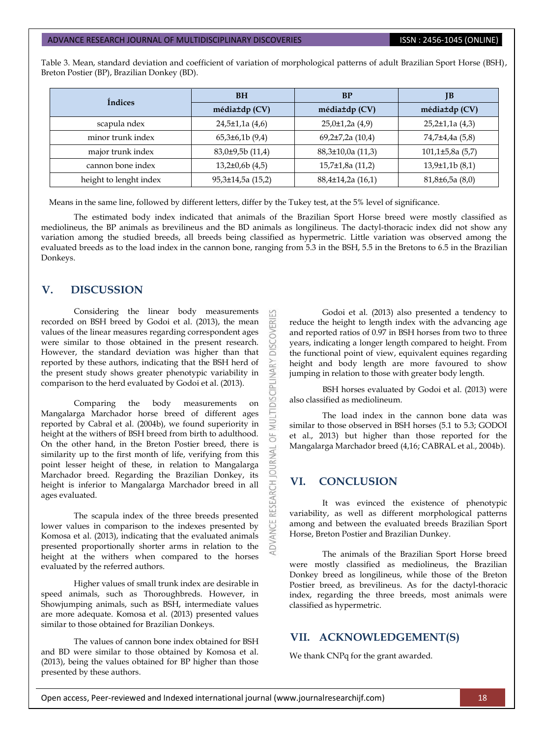Table 3. Mean, standard deviation and coefficient of variation of morphological patterns of adult Brazilian Sport Horse (BSH), Breton Postier (BP), Brazilian Donkey (BD).

| <b>Índices</b>         | <b>BH</b>                  | BP                   | JB                                       |
|------------------------|----------------------------|----------------------|------------------------------------------|
|                        | média±dp (CV)              | média±dp (CV)        | $m\acute{e}di\acute{a}\acute{e}d$ p (CV) |
| scapula ndex           | $24,5 \pm 1,1a(4,6)$       | $25,0\pm1,2a(4,9)$   | $25,2\pm 1,1a(4,3)$                      |
| minor trunk index      | $65,3\pm6,1\text{b}$ (9,4) | $69,2\pm7,2a(10,4)$  | 74,7±4,4a (5,8)                          |
| major trunk index      | $83,0\pm9,5b(11,4)$        | $88,3\pm10,0a(11,3)$ | 101,1±5,8a (5,7)                         |
| cannon bone index      | $13,2\pm0,6b(4,5)$         | 15,7±1,8a (11,2)     | $13,9\pm1,1b(8,1)$                       |
| height to lenght index | 95,3±14,5a (15,2)          | 88,4±14,2a (16,1)    | $81,8\pm 6,5a(8,0)$                      |

Means in the same line, followed by different letters, differ by the Tukey test, at the 5% level of significance.

The estimated body index indicated that animals of the Brazilian Sport Horse breed were mostly classified as mediolineus, the BP animals as brevilineus and the BD animals as longilineus. The dactyl-thoracic index did not show any variation among the studied breeds, all breeds being classified as hypermetric. Little variation was observed among the evaluated breeds as to the load index in the cannon bone, ranging from 5.3 in the BSH, 5.5 in the Bretons to 6.5 in the Brazilian Donkeys.

53

**DISCOVERI** 

**MULTIDISCIPLINARY** 

5

**JOURNAL** 

**RESEARCH** 

ADVANCE

# **V. DISCUSSION**

Considering the linear body measurements recorded on BSH breed by Godoi et al. (2013), the mean values of the linear measures regarding correspondent ages were similar to those obtained in the present research. However, the standard deviation was higher than that reported by these authors, indicating that the BSH herd of the present study shows greater phenotypic variability in comparison to the herd evaluated by Godoi et al. (2013).

Comparing the body measurements on Mangalarga Marchador horse breed of different ages reported by Cabral et al. (2004b), we found superiority in height at the withers of BSH breed from birth to adulthood. On the other hand, in the Breton Postier breed, there is similarity up to the first month of life, verifying from this point lesser height of these, in relation to Mangalarga Marchador breed. Regarding the Brazilian Donkey, its height is inferior to Mangalarga Marchador breed in all ages evaluated.

The scapula index of the three breeds presented lower values in comparison to the indexes presented by Komosa et al. (2013), indicating that the evaluated animals presented proportionally shorter arms in relation to the height at the withers when compared to the horses evaluated by the referred authors.

Higher values of small trunk index are desirable in speed animals, such as Thoroughbreds. However, in Showjumping animals, such as BSH, intermediate values are more adequate. Komosa et al. (2013) presented values similar to those obtained for Brazilian Donkeys.

The values of cannon bone index obtained for BSH and BD were similar to those obtained by Komosa et al. (2013), being the values obtained for BP higher than those presented by these authors.

Godoi et al. (2013) also presented a tendency to reduce the height to length index with the advancing age and reported ratios of 0.97 in BSH horses from two to three years, indicating a longer length compared to height. From the functional point of view, equivalent equines regarding height and body length are more favoured to show jumping in relation to those with greater body length.

BSH horses evaluated by Godoi et al. (2013) were also classified as mediolineum.

The load index in the cannon bone data was similar to those observed in BSH horses (5.1 to 5.3; GODOI et al., 2013) but higher than those reported for the Mangalarga Marchador breed (4,16; CABRAL et al., 2004b).

# **VI. CONCLUSION**

It was evinced the existence of phenotypic variability, as well as different morphological patterns among and between the evaluated breeds Brazilian Sport Horse, Breton Postier and Brazilian Dunkey.

The animals of the Brazilian Sport Horse breed were mostly classified as mediolineus, the Brazilian Donkey breed as longilineus, while those of the Breton Postier breed, as brevilineus. As for the dactyl-thoracic index, regarding the three breeds, most animals were classified as hypermetric.

# **VII. ACKNOWLEDGEMENT(S)**

We thank CNPq for the grant awarded.